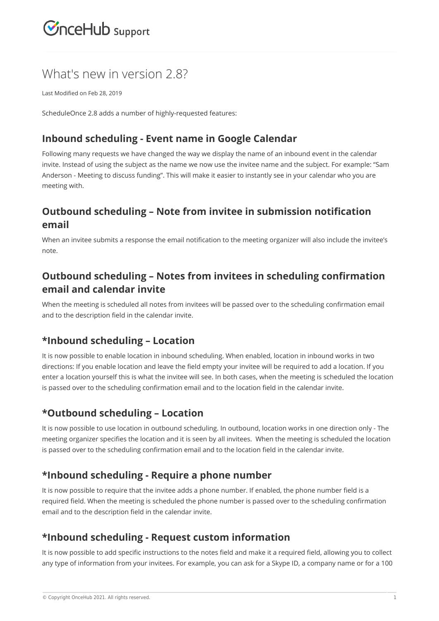## $\mathcal{\mathcal{G}}$ nceHub support

### What's new in version 2.8?

Last Modified on Feb 28, 2019

ScheduleOnce 2.8 adds a number of highly-requested features:

#### **Inbound scheduling - Event name in Google Calendar**

Following many requests we have changed the way we display the name of an inbound event in the calendar invite. Instead of using the subject as the name we now use the invitee name and the subject. For example: "Sam Anderson - Meeting to discuss funding". This will make it easier to instantly see in your calendar who you are meeting with.

#### **Outbound scheduling – Note from invitee in submission notification email**

When an invitee submits a response the email notification to the meeting organizer will also include the invitee's note.

#### **Outbound scheduling – Notes from invitees in scheduling confirmation email and calendar invite**

When the meeting is scheduled all notes from invitees will be passed over to the scheduling confirmation email and to the description field in the calendar invite.

#### **\*Inbound scheduling – Location**

It is now possible to enable location in inbound scheduling. When enabled, location in inbound works in two directions: If you enable location and leave the field empty your invitee will be required to add a location. If you enter a location yourself this is what the invitee will see. In both cases, when the meeting is scheduled the location is passed over to the scheduling confirmation email and to the location field in the calendar invite.

#### **\*Outbound scheduling – Location**

It is now possible to use location in outbound scheduling. In outbound, location works in one direction only - The meeting organizer specifies the location and it is seen by all invitees. When the meeting is scheduled the location is passed over to the scheduling confirmation email and to the location field in the calendar invite.

#### **\*Inbound scheduling - Require a phone number**

It is now possible to require that the invitee adds a phone number. If enabled, the phone number field is a required field. When the meeting is scheduled the phone number is passed over to the scheduling confirmation email and to the description field in the calendar invite.

#### **\*Inbound scheduling - Request custom information**

It is now possible to add specific instructions to the notes field and make it a required field, allowing you to collect any type of information from your invitees. For example, you can ask for a Skype ID, a company name or for a 100